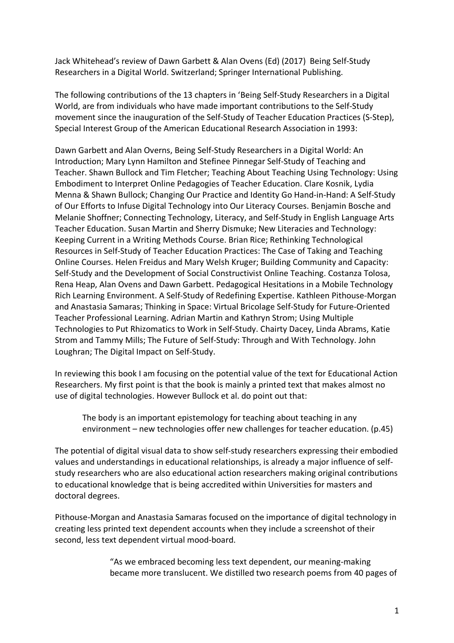Jack Whitehead's review of Dawn Garbett & Alan Ovens (Ed) (2017) Being Self-Study Researchers in a Digital World. Switzerland; Springer International Publishing.

The following contributions of the 13 chapters in 'Being Self-Study Researchers in a Digital World, are from individuals who have made important contributions to the Self-Study movement since the inauguration of the Self-Study of Teacher Education Practices (S-Step), Special Interest Group of the American Educational Research Association in 1993:

Dawn Garbett and Alan Overns, Being Self-Study Researchers in a Digital World: An Introduction; Mary Lynn Hamilton and Stefinee Pinnegar Self-Study of Teaching and Teacher. Shawn Bullock and Tim Fletcher; Teaching About Teaching Using Technology: Using Embodiment to Interpret Online Pedagogies of Teacher Education. Clare Kosnik, Lydia Menna & Shawn Bullock; Changing Our Practice and Identity Go Hand-in-Hand: A Self-Study of Our Efforts to Infuse Digital Technology into Our Literacy Courses. Benjamin Bosche and Melanie Shoffner; Connecting Technology, Literacy, and Self-Study in English Language Arts Teacher Education. Susan Martin and Sherry Dismuke; New Literacies and Technology: Keeping Current in a Writing Methods Course. Brian Rice; Rethinking Technological Resources in Self-Study of Teacher Education Practices: The Case of Taking and Teaching Online Courses. Helen Freidus and Mary Welsh Kruger; Building Community and Capacity: Self-Study and the Development of Social Constructivist Online Teaching. Costanza Tolosa, Rena Heap, Alan Ovens and Dawn Garbett. Pedagogical Hesitations in a Mobile Technology Rich Learning Environment. A Self-Study of Redefining Expertise. Kathleen Pithouse-Morgan and Anastasia Samaras; Thinking in Space: Virtual Bricolage Self-Study for Future-Oriented Teacher Professional Learning. Adrian Martin and Kathryn Strom; Using Multiple Technologies to Put Rhizomatics to Work in Self-Study. Chairty Dacey, Linda Abrams, Katie Strom and Tammy Mills; The Future of Self-Study: Through and With Technology. John Loughran; The Digital Impact on Self-Study.

In reviewing this book I am focusing on the potential value of the text for Educational Action Researchers. My first point is that the book is mainly a printed text that makes almost no use of digital technologies. However Bullock et al. do point out that:

The body is an important epistemology for teaching about teaching in any environment – new technologies offer new challenges for teacher education. (p.45)

The potential of digital visual data to show self-study researchers expressing their embodied values and understandings in educational relationships, is already a major influence of selfstudy researchers who are also educational action researchers making original contributions to educational knowledge that is being accredited within Universities for masters and doctoral degrees.

Pithouse-Morgan and Anastasia Samaras focused on the importance of digital technology in creating less printed text dependent accounts when they include a screenshot of their second, less text dependent virtual mood-board.

> "As we embraced becoming less text dependent, our meaning-making became more translucent. We distilled two research poems from 40 pages of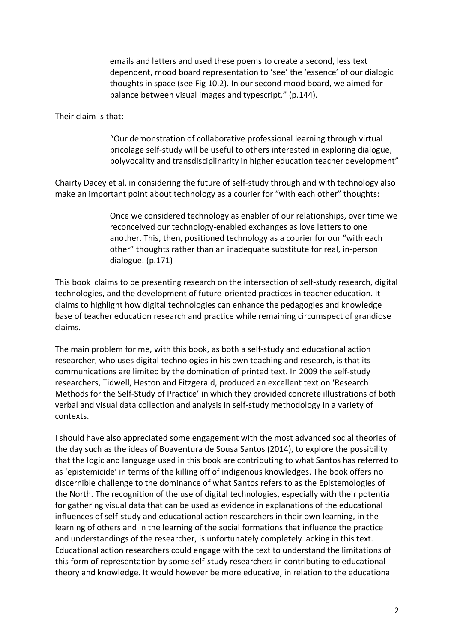emails and letters and used these poems to create a second, less text dependent, mood board representation to 'see' the 'essence' of our dialogic thoughts in space (see Fig 10.2). In our second mood board, we aimed for balance between visual images and typescript." (p.144).

Their claim is that:

"Our demonstration of collaborative professional learning through virtual bricolage self-study will be useful to others interested in exploring dialogue, polyvocality and transdisciplinarity in higher education teacher development"

Chairty Dacey et al. in considering the future of self-study through and with technology also make an important point about technology as a courier for "with each other" thoughts:

> Once we considered technology as enabler of our relationships, over time we reconceived our technology-enabled exchanges as love letters to one another. This, then, positioned technology as a courier for our "with each other" thoughts rather than an inadequate substitute for real, in-person dialogue. (p.171)

This book claims to be presenting research on the intersection of self-study research, digital technologies, and the development of future-oriented practices in teacher education. It claims to highlight how digital technologies can enhance the pedagogies and knowledge base of teacher education research and practice while remaining circumspect of grandiose claims.

The main problem for me, with this book, as both a self-study and educational action researcher, who uses digital technologies in his own teaching and research, is that its communications are limited by the domination of printed text. In 2009 the self-study researchers, Tidwell, Heston and Fitzgerald, produced an excellent text on 'Research Methods for the Self-Study of Practice' in which they provided concrete illustrations of both verbal and visual data collection and analysis in self-study methodology in a variety of contexts.

I should have also appreciated some engagement with the most advanced social theories of the day such as the ideas of Boaventura de Sousa Santos (2014), to explore the possibility that the logic and language used in this book are contributing to what Santos has referred to as 'epistemicide' in terms of the killing off of indigenous knowledges. The book offers no discernible challenge to the dominance of what Santos refers to as the Epistemologies of the North. The recognition of the use of digital technologies, especially with their potential for gathering visual data that can be used as evidence in explanations of the educational influences of self-study and educational action researchers in their own learning, in the learning of others and in the learning of the social formations that influence the practice and understandings of the researcher, is unfortunately completely lacking in this text. Educational action researchers could engage with the text to understand the limitations of this form of representation by some self-study researchers in contributing to educational theory and knowledge. It would however be more educative, in relation to the educational